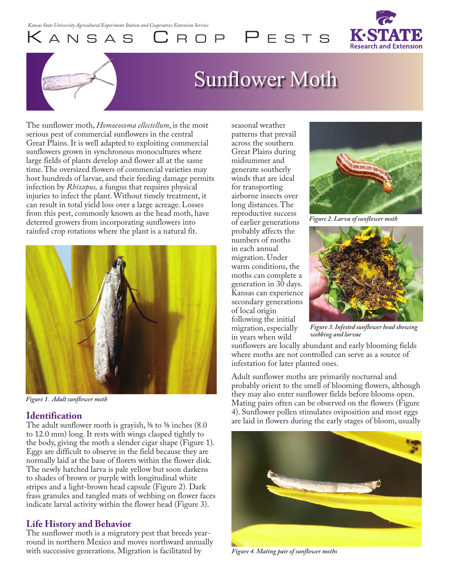KANSAS CROP PESTS



# Sunflower Moth

The sunflower moth, *Homoeosoma ellectellum*, is the most serious pest of commercial sunflowers in the central Great Plains. It is well adapted to exploiting commercial sunflowers grown in synchronous monocultures where large fields of plants develop and flower all at the same time. The oversized flowers of commercial varieties may host hundreds of larvae, and their feeding damage permits infection by *Rhizopus,* a fungus that requires physical injuries to infect the plant. Without timely treatment, it can result in total yield loss over a large acreage. Losses from this pest, commonly known as the head moth, have deterred growers from incorporating sunflowers into rainfed crop rotations where the plant is a natural fit.



*Figure 1. Adult sunflower moth*

#### **Identification**

The adult sunflower moth is grayish,  $\frac{3}{8}$  to  $\frac{5}{8}$  inches (8.0) to 12.0 mm) long. It rests with wings clasped tightly to the body, giving the moth a slender cigar shape (Figure 1). Eggs are difficult to observe in the field because they are normally laid at the base of florets within the flower disk. The newly hatched larva is pale yellow but soon darkens to shades of brown or purple with longitudinal white stripes and a light-brown head capsule (Figure 2). Dark frass granules and tangled mats of webbing on flower faces indicate larval activity within the flower head (Figure 3).

#### **Life History and Behavior**

The sunflower moth is a migratory pest that breeds yearround in northern Mexico and moves northward annually with successive generations. Migration is facilitated by

seasonal weather patterns that prevail across the southern Great Plains during midsummer and generate southerly winds that are ideal for transporting airborne insects over long distances. The reproductive success of earlier generations probably affects the numbers of moths in each annual migration. Under warm conditions, the moths can complete a generation in 30 days. Kansas can experience secondary generations of local origin following the initial migration, especially in years when wild



*Figure 2. Larva of sunflower moth*



*Figure 3. Infested sunflower head showing webbing and larvae*

sunflowers are locally abundant and early blooming fields where moths are not controlled can serve as a source of infestation for later planted ones.

Adult sunflower moths are primarily nocturnal and probably orient to the smell of blooming flowers, although they may also enter sunflower fields before blooms open. Mating pairs often can be observed on the flowers (Figure 4). Sunflower pollen stimulates oviposition and most eggs are laid in flowers during the early stages of bloom, usually



*Figure 4. Mating pair of sunflower moths*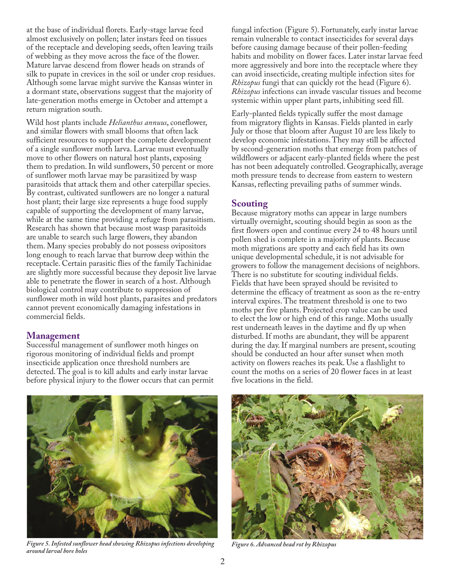at the base of individual florets. Early-stage larvae feed almost exclusively on pollen; later instars feed on tissues of the receptacle and developing seeds, often leaving trails of webbing as they move across the face of the flower. Mature larvae descend from flower heads on strands of silk to pupate in crevices in the soil or under crop residues. Although some larvae might survive the Kansas winter in a dormant state, observations suggest that the majority of late-generation moths emerge in October and attempt a return migration south.

Wild host plants include *Helianthus annuus*, coneflower, and similar flowers with small blooms that often lack sufficient resources to support the complete development of a single sunflower moth larva. Larvae must eventually move to other flowers on natural host plants, exposing them to predation. In wild sunflowers, 50 percent or more of sunflower moth larvae may be parasitized by wasp parasitoids that attack them and other caterpillar species. By contrast, cultivated sunflowers are no longer a natural host plant; their large size represents a huge food supply capable of supporting the development of many larvae, while at the same time providing a refuge from parasitism. Research has shown that because most wasp parasitoids are unable to search such large flowers, they abandon them. Many species probably do not possess ovipositors long enough to reach larvae that burrow deep within the receptacle. Certain parasitic flies of the family Tachinidae are slightly more successful because they deposit live larvae able to penetrate the flower in search of a host. Although biological control may contribute to suppression of sunflower moth in wild host plants, parasites and predators cannot prevent economically damaging infestations in commercial fields.

#### **Management**

Successful management of sunflower moth hinges on rigorous monitoring of individual fields and prompt insecticide application once threshold numbers are detected. The goal is to kill adults and early instar larvae before physical injury to the flower occurs that can permit fungal infection (Figure 5). Fortunately, early instar larvae remain vulnerable to contact insecticides for several days before causing damage because of their pollen-feeding habits and mobility on flower faces. Later instar larvae feed more aggressively and bore into the receptacle where they can avoid insecticide, creating multiple infection sites for *Rhizopus* fungi that can quickly rot the head (Figure 6). *Rhizopus* infections can invade vascular tissues and become systemic within upper plant parts, inhibiting seed fill.

Early-planted fields typically suffer the most damage from migratory flights in Kansas. Fields planted in early July or those that bloom after August 10 are less likely to develop economic infestations. They may still be affected by second-generation moths that emerge from patches of wildflowers or adjacent early-planted fields where the pest has not been adequately controlled. Geographically, average moth pressure tends to decrease from eastern to western Kansas, reflecting prevailing paths of summer winds.

### **Scouting**

Because migratory moths can appear in large numbers virtually overnight, scouting should begin as soon as the first flowers open and continue every 24 to 48 hours until pollen shed is complete in a majority of plants. Because moth migrations are spotty and each field has its own unique developmental schedule, it is not advisable for growers to follow the management decisions of neighbors. There is no substitute for scouting individual fields. Fields that have been sprayed should be revisited to determine the efficacy of treatment as soon as the re-entry interval expires. The treatment threshold is one to two moths per five plants. Projected crop value can be used to elect the low or high end of this range. Moths usually rest underneath leaves in the daytime and fly up when disturbed. If moths are abundant, they will be apparent during the day. If marginal numbers are present, scouting should be conducted an hour after sunset when moth activity on flowers reaches its peak. Use a flashlight to count the moths on a series of 20 flower faces in at least five locations in the field.



*Figure 5. Infested sunflower head showing Rhizopus infections developing around larval bore holes*



*Figure 6. Advanced head rot by Rhizopus*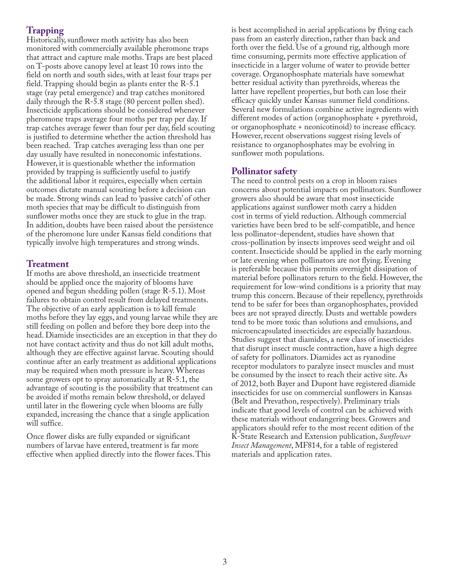## **Trapping**

Historically, sunflower moth activity has also been monitored with commercially available pheromone traps that attract and capture male moths. Traps are best placed on T-posts above canopy level at least 10 rows into the field on north and south sides, with at least four traps per field. Trapping should begin as plants enter the R-5.1 stage (ray petal emergence) and trap catches monitored daily through the R-5.8 stage (80 percent pollen shed). Insecticide applications should be considered whenever pheromone traps average four moths per trap per day. If trap catches average fewer than four per day, field scouting is justified to determine whether the action threshold has been reached. Trap catches averaging less than one per day usually have resulted in noneconomic infestations. However, it is questionable whether the information provided by trapping is sufficiently useful to justify the additional labor it requires, especially when certain outcomes dictate manual scouting before a decision can be made. Strong winds can lead to 'passive catch' of other moth species that may be difficult to distinguish from sunflower moths once they are stuck to glue in the trap. In addition, doubts have been raised about the persistence of the pheromone lure under Kansas field conditions that typically involve high temperatures and strong winds.

#### **Treatment**

If moths are above threshold, an insecticide treatment should be applied once the majority of blooms have opened and begun shedding pollen (stage R-5.1). Most failures to obtain control result from delayed treatments. The objective of an early application is to kill female moths before they lay eggs, and young larvae while they are still feeding on pollen and before they bore deep into the head. Diamide insecticides are an exception in that they do not have contact activity and thus do not kill adult moths, although they are effective against larvae. Scouting should continue after an early treatment as additional applications may be required when moth pressure is heavy. Whereas some growers opt to spray automatically at R-5.1, the advantage of scouting is the possibility that treatment can be avoided if moths remain below threshold, or delayed until later in the flowering cycle when blooms are fully expanded, increasing the chance that a single application will suffice.

Once flower disks are fully expanded or significant numbers of larvae have entered, treatment is far more effective when applied directly into the flower faces. This is best accomplished in aerial applications by flying each pass from an easterly direction, rather than back and forth over the field. Use of a ground rig, although more time consuming, permits more effective application of insecticide in a larger volume of water to provide better coverage. Organophosphate materials have somewhat better residual activity than pyrethroids, whereas the latter have repellent properties, but both can lose their efficacy quickly under Kansas summer field conditions. Several new formulations combine active ingredients with different modes of action (organophosphate + pyrethroid, or organophosphate + neonicotinoid) to increase efficacy. However, recent observations suggest rising levels of resistance to organophosphates may be evolving in sunflower moth populations.

#### **Pollinator safety**

The need to control pests on a crop in bloom raises concerns about potential impacts on pollinators. Sunflower growers also should be aware that most insecticide applications against sunflower moth carry a hidden cost in terms of yield reduction. Although commercial varieties have been bred to be self-compatible, and hence less pollinator-dependent, studies have shown that cross-pollination by insects improves seed weight and oil content. Insecticide should be applied in the early morning or late evening when pollinators are not flying. Evening is preferable because this permits overnight dissipation of material before pollinators return to the field. However, the requirement for low-wind conditions is a priority that may trump this concern. Because of their repellency, pyrethroids tend to be safer for bees than organophosphates, provided bees are not sprayed directly. Dusts and wettable powders tend to be more toxic than solutions and emulsions, and microencapsulated insecticides are especially hazardous. Studies suggest that diamides, a new class of insecticides that disrupt insect muscle contraction, have a high degree of safety for pollinators. Diamides act as ryanodine receptor modulators to paralyze insect muscles and must be consumed by the insect to reach their active site. As of 2012, both Bayer and Dupont have registered diamide insecticides for use on commercial sunflowers in Kansas (Belt and Prevathon, respectively). Preliminary trials indicate that good levels of control can be achieved with these materials without endangering bees. Growers and applicators should refer to the most recent edition of the K-State Research and Extension publication, *Sunflower Insect Management*, MF814, for a table of registered materials and application rates.